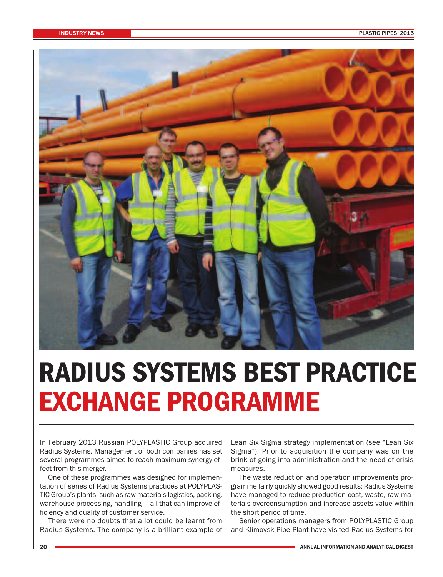

# **RADIUS SYSTEMS BEST PRACTICE EXCHANGE PROGRAMME**

In February 2013 Russian POLYPLASTIC Group acquired Radius Systems. Management of both companies has set several programmes aimed to reach maximum synergy effect from this merger.

One of these programmes was designed for implementation of series of Radius Systems practices at POLYPLAS-TIC Group's plants, such as raw materials logistics, packing, warehouse processing, handling – all that can improve efficiency and quality of customer service.

There were no doubts that a lot could be learnt from Radius Systems. The company is a brilliant example of Lean Six Sigma strategy implementation (see "Lean Six Sigma"). Prior to acquisition the company was on the brink of going into administration and the need of crisis measures.

The waste reduction and operation improvements programme fairly quickly showed good results: Radius Systems have managed to reduce production cost, waste, raw materials overconsumption and increase assets value within the short period of time.

Senior operations managers from POLYPLASTIC Group and Klimovsk Pipe Plant have visited Radius Systems for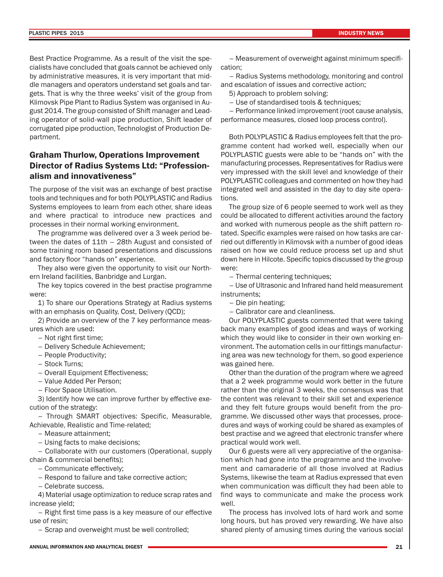Best Practice Programme. As a result of the visit the specialists have concluded that goals cannot be achieved only by administrative measures, it is very important that middle managers and operators understand set goals and targets. That is why the three weeks' visit of the group from Klimovsk Pipe Plant to Radius System was organised in August 2014. The group consisted of Shift manager and Leading operator of solid-wall pipe production, Shift leader of corrugated pipe production, Technologist of Production Department.

### **Graham Thurlow, Operations Improvement Director of Radius Systems Ltd: "Professionalism and innovativeness"**

The purpose of the visit was an exchange of best practise tools and techniques and for both POLYPLASTIC and Radius Systems employees to learn from each other, share ideas and where practical to introduce new practices and processes in their normal working environment.

The programme was delivered over a 3 week period between the dates of 11th – 28th August and consisted of some training room based presentations and discussions and factory floor "hands on" experience.

They also were given the opportunity to visit our Northern Ireland facilities, Banbridge and Lurgan.

The key topics covered in the best practise programme were:

1) To share our Operations Strategy at Radius systems with an emphasis on Quality, Cost, Delivery (QCD);

2) Provide an overview of the 7 key performance measures which are used:

– Not right first time;

- Delivery Schedule Achievement;
- People Productivity;
- Stock Turns;
- Overall Equipment Effectiveness;
- Value Added Per Person;
- Floor Space Utilisation.

3) Identify how we can improve further by effective execution of the strategy:

– Through SMART objectives: Specific, Measurable, Achievable, Realistic and Time-related;

– Measure attainment;

– Using facts to make decisions;

– Collaborate with our customers (Operational, supply chain & commercial benefits);

- Communicate effectively;
- Respond to failure and take corrective action;
- Celebrate success.

4) Material usage optimization to reduce scrap rates and increase yield;

– Right first time pass is a key measure of our effective use of resin;

– Scrap and overweight must be well controlled;

– Measurement of overweight against minimum specification;

– Radius Systems methodology, monitoring and control and escalation of issues and corrective action;

5) Approach to problem solving:

– Use of standardised tools & techniques;

– Performance linked improvement (root cause analysis, performance measures, closed loop process control).

Both POLYPLASTIC & Radius employees felt that the programme content had worked well, especially when our POLYPLASTIC guests were able to be "hands on" with the manufacturing processes. Representatives for Radius were very impressed with the skill level and knowledge of their POLYPLASTIC colleagues and commented on how they had integrated well and assisted in the day to day site operations.

The group size of 6 people seemed to work well as they could be allocated to different activities around the factory and worked with numerous people as the shift pattern rotated. Specific examples were raised on how tasks are carried out differently in Klimovsk with a number of good ideas raised on how we could reduce process set up and shut down here in Hilcote. Specific topics discussed by the group were:

– Thermal centering techniques;

– Use of Ultrasonic and Infrared hand held measurement instruments;

– Die pin heating;

– Calibrator care and cleanliness.

Our POLYPLASTIC guests commented that were taking back many examples of good ideas and ways of working which they would like to consider in their own working environment. The automation cells in our fittings manufacturing area was new technology for them, so good experience was gained here.

Other than the duration of the program where we agreed that a 2 week programme would work better in the future rather than the original 3 weeks, the consensus was that the content was relevant to their skill set and experience and they felt future groups would benefit from the programme. We discussed other ways that processes, procedures and ways of working could be shared as examples of best practise and we agreed that electronic transfer where practical would work well.

Our 6 guests were all very appreciative of the organisation which had gone into the programme and the involvement and camaraderie of all those involved at Radius Systems, likewise the team at Radius expressed that even when communication was difficult they had been able to find ways to communicate and make the process work well.

The process has involved lots of hard work and some long hours, but has proved very rewarding. We have also shared plenty of amusing times during the various social